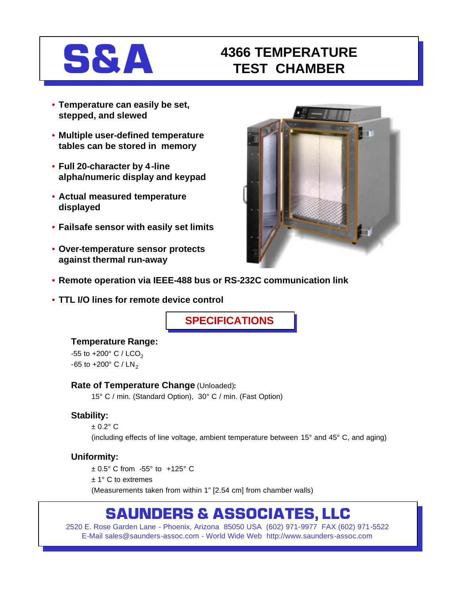# **S&A 4366 TEMPERATURE TEST CHAMBER**

- **Temperature can easily be set, stepped, and slewed**
- **Multiple user-defined temperature tables can be stored in memory**
- **Full 20-character by 4-line alpha/numeric display and keypad**
- **Actual measured temperature displayed**
- **Failsafe sensor with easily set limits**
- **Over-temperature sensor protects against thermal run-away**



- **Remote operation via IEEE-488 bus or RS-232C communication link**
- **TTL I/O lines for remote device control**

**SPECIFICATIONS**

# **Temperature Range:**

-55 to +200 $^{\circ}$  C / LCO<sub>2</sub> -65 to +200 $^{\circ}$  C / LN<sub>2</sub>

## **Rate of Temperature Change** (Unloaded)**:**

15° C / min. (Standard Option), 30° C / min. (Fast Option)

# **Stability:**

 $± 0.2° C$ (including effects of line voltage, ambient temperature between 15° and 45° C, and aging)

# **Uniformity:**

± 0.5° C from -55° to +125° C ± 1° C to extremes (Measurements taken from within 1" [2.54 cm] from chamber walls)

# **SAUNDERS & ASSOCIATES, LLC**

2520 E. Rose Garden Lane - Phoenix, Arizona 85050 USA (602) 971-9977 FAX (602) 971-5522 E-Mail sales@saunders-assoc.com - World Wide Web http://www.saunders-assoc.com